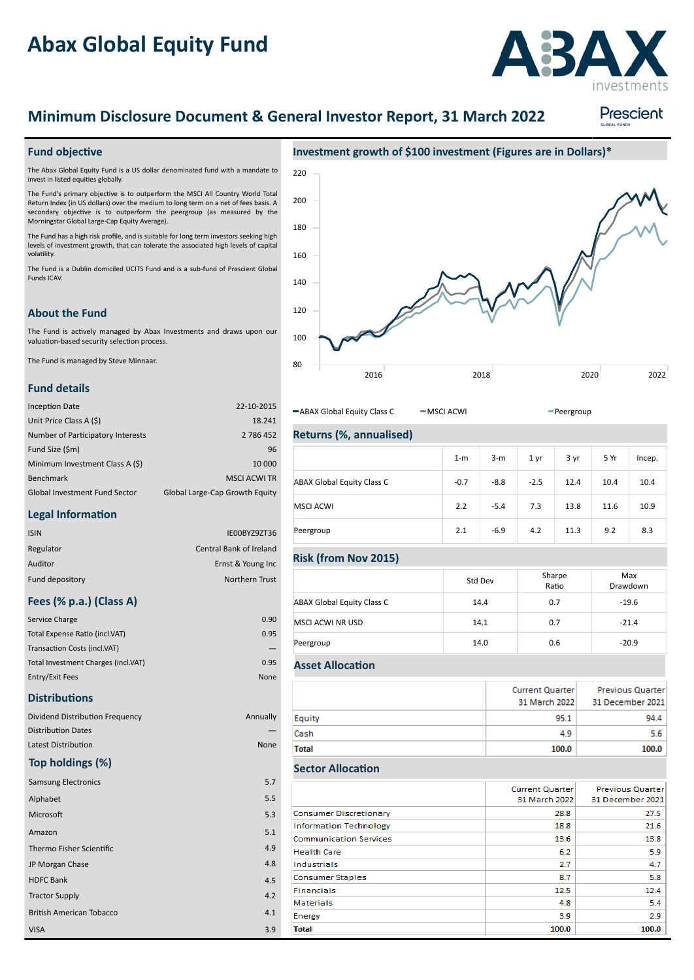# **Abax Global Equity Fund**



# **Minimum Disclosure Document & General Investor Report, 31 March 2022**

# Prescient

#### **Fund objective**

The Abax Global Equity Fund is a US dollar denominated fund with a mandate to invest in listed equities globally.

The Fund's primary objective is to outperform the MSCI All Country World Total Return Index (in US dollars) over the medium to long term on a net of fees basis. A secondary objective is to outperform the peergroup (as measured by the Morningstar Global Large-Cap Equity Average).

The Fund has a high risk profile, and is suitable for long term investors seeking high levels of investment growth, that can tolerate the associated high levels of capital volatility

The Fund is a Dublin domiciled UCITS Fund and is a subfund of Prescient Global Funds ICAV.

## **About the Fund**

The Fund is actively managed by Abax Investments and draws upon our valuation-based security selection process.

The Fund is managed by Steve Minnaar.

#### **Fund details**

| <b>Inception Date</b>                | 22-10-2015                     |
|--------------------------------------|--------------------------------|
| Unit Price Class A (\$)              | 18.241                         |
| Number of Participatory Interests    | 2 786 452                      |
| Fund Size (\$m)                      | 96                             |
| Minimum Investment Class A (\$)      | 10 000                         |
| Benchmark                            | <b>MSCI ACWI TR</b>            |
| <b>Global Investment Fund Sector</b> | Global Large-Cap Growth Equity |

#### **Legal Information**

| <b>ISIN</b>     | IE00BYZ9ZT36                   |
|-----------------|--------------------------------|
| Regulator       | <b>Central Bank of Ireland</b> |
| Auditor         | Ernst & Young Inc              |
| Fund depository | Northern Trust                 |

### **Fees (% p.a.) (Class A)**

| Service Charge                      | 0.90 |
|-------------------------------------|------|
| Total Expense Ratio (incl.VAT)      | 0.95 |
| Transaction Costs (incl.VAT)        |      |
| Total Investment Charges (incl.VAT) | 0.95 |
| Entry/Exit Fees                     | None |

#### **Distributions**

| Dividend Distribution Frequency |  |
|---------------------------------|--|
| <b>Distribution Dates</b>       |  |
| Latest Distribution             |  |

### **Top holdings (%)**

| <b>Samsung Electronics</b>      |
|---------------------------------|
| Alphabet                        |
| Microsoft                       |
| Amazon                          |
| Thermo Fisher Scientific        |
| JP Morgan Chase                 |
| <b>HDFC Bank</b>                |
| <b>Tractor Supply</b>           |
| <b>British American Tobacco</b> |
| <b>VISA</b>                     |



-ABAX Global Equity Class C - MSCI ACWI - Peergroup

# **Returns (%, annualised)**

|                                   | $1-m$  | $3-m$  | 1 yr   | 3 yr | 5 Yr | Incep. |
|-----------------------------------|--------|--------|--------|------|------|--------|
| <b>ABAX Global Equity Class C</b> | $-0.7$ | $-8.8$ | $-2.5$ | 12.4 | 10.4 | 10.4   |
| <b>MSCI ACWI</b>                  | 2.2    | $-5.4$ | 7.3    | 13.8 | 11.6 | 10.9   |
| Peergroup                         | 2.1    | $-6.9$ | 4.2    | 11.3 | 9.2  | 8.3    |

#### **Risk (from Nov 2015)**

|                                   | Std Dev | Sharpe<br>Ratio | Max<br>Drawdown |
|-----------------------------------|---------|-----------------|-----------------|
| <b>ABAX Global Equity Class C</b> | 14.4    | 0.7             | $-19.6$         |
| MSCI ACWI NR USD                  | 14.1    | 0.7             | $-21.4$         |
| Peergroup                         | 14.0    | 0.6             | $-20.9$         |

#### **Asset Allocation**

Annually — None

> 5.5 5.3

4.8 4.5

4.2 4.1 3.9

5.1 4.9

5.7

|        | Current Quarter<br>31 March 2022 | <b>Previous Quarter</b><br>31 December 2021 |
|--------|----------------------------------|---------------------------------------------|
| Equity | 95.1                             | 94.4                                        |
| Cash   | 4.9                              | 5.6                                         |
| Total  | 100.0                            | 100.0                                       |

#### **Sector Allocation**

|                               | <b>Current Quarter</b><br>31 March 2022 | <b>Previous Quarter</b><br>31 December 2021 |
|-------------------------------|-----------------------------------------|---------------------------------------------|
| Consumer Discretionary        | 28.8                                    | 27.5                                        |
| <b>Information Technology</b> | 18.8                                    | 21.6                                        |
| <b>Communication Services</b> | 13.6                                    | 13.8                                        |
| <b>Health Care</b>            | 6.2                                     | 5.9                                         |
| Industrials                   | 27                                      | 4.7                                         |
| <b>Consumer Staples</b>       | 8.7                                     | 5.8                                         |
| <b>Financials</b>             | 12.5                                    | 12.4                                        |
| <b>Materials</b>              | 4.8                                     | 5.4                                         |
| Energy                        | 3.9                                     | 2.9                                         |
| <b>Total</b>                  | 100.0                                   | 100.0                                       |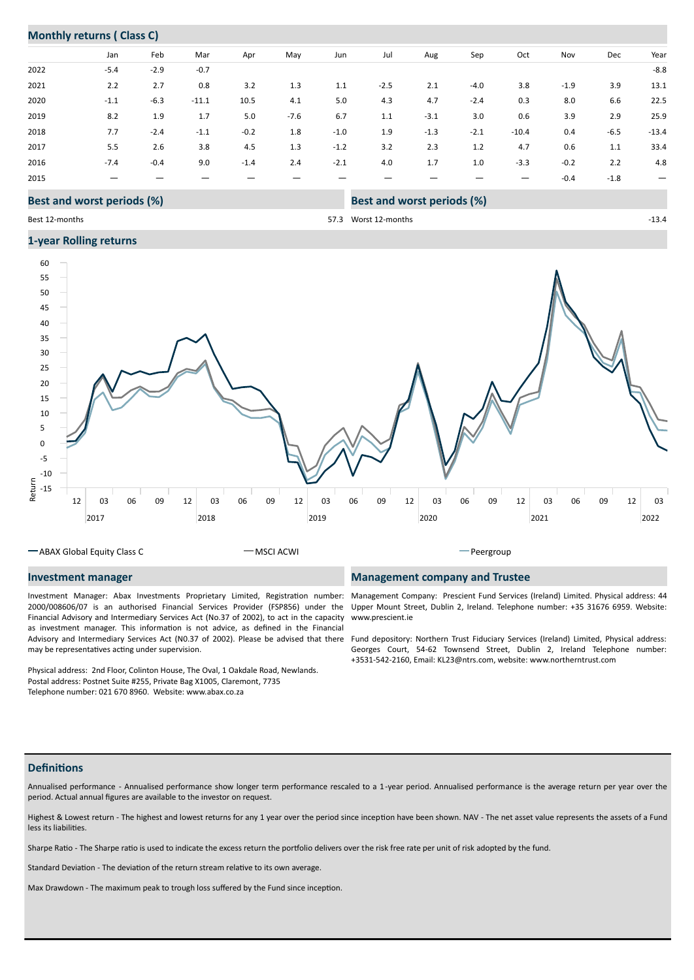# **Monthly returns ( Class C)**

|      | Jan                               | Feb    | Mar     | Apr    | May    | Jun    | Jul    | Aug                        | Sep    | Oct     | Nov    | Dec    | Year                     |
|------|-----------------------------------|--------|---------|--------|--------|--------|--------|----------------------------|--------|---------|--------|--------|--------------------------|
| 2022 | $-5.4$                            | $-2.9$ | $-0.7$  |        |        |        |        |                            |        |         |        |        | $-8.8$                   |
| 2021 | 2.2                               | 2.7    | 0.8     | 3.2    | 1.3    | 1.1    | $-2.5$ | 2.1                        | $-4.0$ | 3.8     | $-1.9$ | 3.9    | 13.1                     |
| 2020 | $-1.1$                            | $-6.3$ | $-11.1$ | 10.5   | 4.1    | 5.0    | 4.3    | 4.7                        | $-2.4$ | 0.3     | 8.0    | 6.6    | 22.5                     |
| 2019 | 8.2                               | 1.9    | 1.7     | 5.0    | $-7.6$ | 6.7    | 1.1    | $-3.1$                     | 3.0    | 0.6     | 3.9    | 2.9    | 25.9                     |
| 2018 | 7.7                               | $-2.4$ | $-1.1$  | $-0.2$ | 1.8    | $-1.0$ | 1.9    | $-1.3$                     | $-2.1$ | $-10.4$ | 0.4    | $-6.5$ | $-13.4$                  |
| 2017 | 5.5                               | 2.6    | 3.8     | 4.5    | 1.3    | $-1.2$ | 3.2    | 2.3                        | 1.2    | 4.7     | 0.6    | 1.1    | 33.4                     |
| 2016 | $-7.4$                            | $-0.4$ | 9.0     | $-1.4$ | 2.4    | $-2.1$ | 4.0    | 1.7                        | 1.0    | $-3.3$  | $-0.2$ | 2.2    | 4.8                      |
| 2015 |                                   |        |         |        |        |        |        |                            |        |         | $-0.4$ | $-1.8$ | $\overline{\phantom{m}}$ |
|      | <b>Best and worst periods (%)</b> |        |         |        |        |        |        | Best and worst periods (%) |        |         |        |        |                          |

## Best 12-months

57.3 Worst 12-months 13.4

#### **1year Rolling returns**



ABAX Global Equity Class C MSCI ACWI Peergroup

#### **Investment manager**

Investment Manager: Abax Investments Proprietary Limited, Registration number: 2000/008606/07 is an authorised Financial Services Provider (FSP856) under the Financial Advisory and Intermediary Services Act (No.37 of 2002), to act in the capacity as investment manager. This information is not advice, as defined in the Financial may be representatives acting under supervision.

Physical address: 2nd Floor, Colinton House, The Oval, 1 Oakdale Road, Newlands. Postal address: Postnet Suite #255, Private Bag X1005, Claremont, 7735 Telephone number: 021 670 8960. Website: www.abax.co.za

#### **Management company and Trustee**

Management Company: Prescient Fund Services (Ireland) Limited. Physical address: 44 Upper Mount Street, Dublin 2, Ireland. Telephone number: +35 31676 6959. Website: www.prescient.ie

Advisory and Intermediary Services Act (N0.37 of 2002). Please be advised that there Fund depository: Northern Trust Fiduciary Services (Ireland) Limited, Physical address: Georges Court, 54-62 Townsend Street, Dublin 2, Ireland Telephone number: +3531-542-2160, Email: KL23@ntrs.com, website: www.northerntrust.com

# **Defini�ons**

Annualised performance - Annualised performance show longer term performance rescaled to a 1-year period. Annualised performance is the average return per year over the period. Actual annual figures are available to the investor on request.

Highest & Lowest return - The highest and lowest returns for any 1 year over the period since inception have been shown. NAV - The net asset value represents the assets of a Fund less its liabili�es.

Sharpe Ratio - The Sharpe ratio is used to indicate the excess return the portfolio delivers over the risk free rate per unit of risk adopted by the fund.

Standard Deviation - The deviation of the return stream relative to its own average.

Max Drawdown - The maximum peak to trough loss suffered by the Fund since inception.